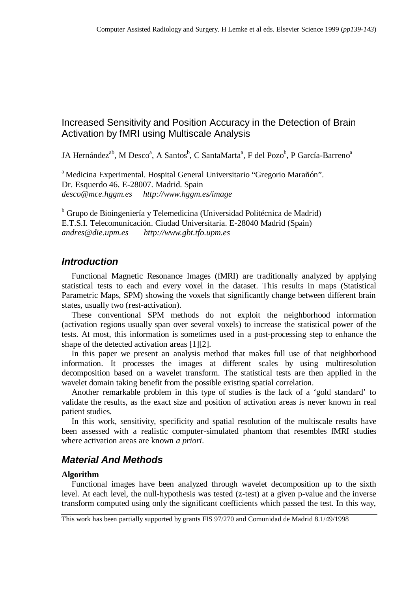# Increased Sensitivity and Position Accuracy in the Detection of Brain Activation by fMRI using Multiscale Analysis

JA Hernández<sup>ab</sup>, M Desco<sup>a</sup>, A Santos<sup>b</sup>, C SantaMarta<sup>a</sup>, F del Pozo<sup>b</sup>, P García-Barreno<sup>a</sup>

<sup>a</sup> Medicina Experimental. Hospital General Universitario "Gregorio Marañón". Dr. Esquerdo 46. E-28007. Madrid. Spain *desco@mce.hggm.es http://www.hggm.es/image*

<sup>b</sup> Grupo de Bioingeniería y Telemedicina (Universidad Politécnica de Madrid) E.T.S.I. Telecomunicación. Ciudad Universitaria. E-28040 Madrid (Spain) *andres@die.upm.es http://www.gbt.tfo.upm.es*

## *Introduction*

Functional Magnetic Resonance Images (fMRI) are traditionally analyzed by applying statistical tests to each and every voxel in the dataset. This results in maps (Statistical Parametric Maps, SPM) showing the voxels that significantly change between different brain states, usually two (rest-activation).

These conventional SPM methods do not exploit the neighborhood information (activation regions usually span over several voxels) to increase the statistical power of the tests. At most, this information is sometimes used in a post-processing step to enhance the shape of the detected activation areas [1][2].

In this paper we present an analysis method that makes full use of that neighborhood information. It processes the images at different scales by using multiresolution decomposition based on a wavelet transform. The statistical tests are then applied in the wavelet domain taking benefit from the possible existing spatial correlation.

Another remarkable problem in this type of studies is the lack of a 'gold standard' to validate the results, as the exact size and position of activation areas is never known in real patient studies.

In this work, sensitivity, specificity and spatial resolution of the multiscale results have been assessed with a realistic computer-simulated phantom that resembles fMRI studies where activation areas are known *a priori*.

## *Material And Methods*

### **Algorithm**

Functional images have been analyzed through wavelet decomposition up to the sixth level. At each level, the null-hypothesis was tested (z-test) at a given p-value and the inverse transform computed using only the significant coefficients which passed the test. In this way,

This work has been partially supported by grants FIS 97/270 and Comunidad de Madrid 8.1/49/1998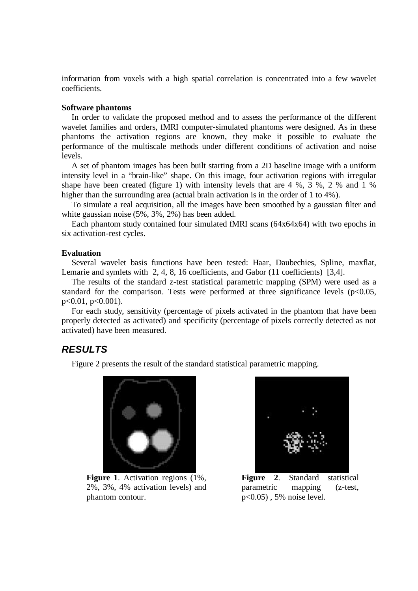information from voxels with a high spatial correlation is concentrated into a few wavelet coefficients.

#### **Software phantoms**

In order to validate the proposed method and to assess the performance of the different wavelet families and orders, fMRI computer-simulated phantoms were designed. As in these phantoms the activation regions are known, they make it possible to evaluate the performance of the multiscale methods under different conditions of activation and noise levels.

A set of phantom images has been built starting from a 2D baseline image with a uniform intensity level in a "brain-like" shape. On this image, four activation regions with irregular shape have been created (figure 1) with intensity levels that are 4 %, 3 %, 2 % and 1 % higher than the surrounding area (actual brain activation is in the order of 1 to 4%).

To simulate a real acquisition, all the images have been smoothed by a gaussian filter and white gaussian noise (5%, 3%, 2%) has been added.

Each phantom study contained four simulated fMRI scans (64x64x64) with two epochs in six activation-rest cycles.

#### **Evaluation**

Several wavelet basis functions have been tested: Haar, Daubechies, Spline, maxflat, Lemarie and symlets with 2, 4, 8, 16 coefficients, and Gabor (11 coefficients) [3,4].

The results of the standard z-test statistical parametric mapping (SPM) were used as a standard for the comparison. Tests were performed at three significance levels  $(p<0.05$ , p<0.01, p<0.001).

For each study, sensitivity (percentage of pixels activated in the phantom that have been properly detected as activated) and specificity (percentage of pixels correctly detected as not activated) have been measured.

### *RESULTS*

Figure 2 presents the result of the standard statistical parametric mapping.



**Figure 1**. Activation regions (1%, 2%, 3%, 4% activation levels) and phantom contour.



**Figure 2**. Standard statistical parametric mapping (z-test, p<0.05) , 5% noise level.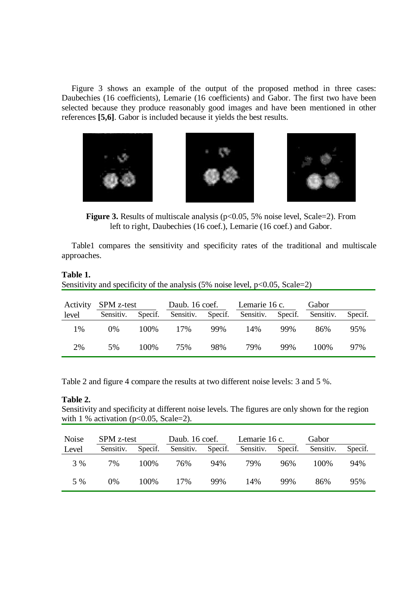Figure 3 shows an example of the output of the proposed method in three cases: Daubechies (16 coefficients), Lemarie (16 coefficients) and Gabor. The first two have been selected because they produce reasonably good images and have been mentioned in other references **[5,6]**. Gabor is included because it yields the best results.







**Figure 3.** Results of multiscale analysis ( $p<0.05$ , 5% noise level, Scale=2). From left to right, Daubechies (16 coef.), Lemarie (16 coef.) and Gabor.

Table1 compares the sensitivity and specificity rates of the traditional and multiscale approaches.

### **Table 1.**

Sensitivity and specificity of the analysis  $(5\% \text{ noise level}, p<0.05, \text{Scale}=2)$ 

| Activity | SPM z-test |         | Daub. 16 coef. |         | Lemarie 16 c. |         | Gabor     |         |
|----------|------------|---------|----------------|---------|---------------|---------|-----------|---------|
| level    | Sensitiv.  | Specif. | Sensitiv.      | Specif. | Sensitiv.     | Specif. | Sensitiv. | Specif. |
| 1%       | 0%         | 100\%   | 17%            | 99%     | 14%           | 99%     | 86%       | 95%     |
| 2%       | 5%         | 100\%   | 75%            | 98%     | 79%           | 99%     | 100\%     | 97%     |

Table 2 and figure 4 compare the results at two different noise levels: 3 and 5 %.

### **Table 2.**

Sensitivity and specificity at different noise levels. The figures are only shown for the region with 1 % activation ( $p<0.05$ , Scale=2).

| Noise | SPM z-test |         | Daub. 16 coef. |         | Lemarie 16 c. |         | Gabor     |         |
|-------|------------|---------|----------------|---------|---------------|---------|-----------|---------|
| Level | Sensitiv.  | Specif. | Sensitiv.      | Specif. | Sensitiv.     | Specif. | Sensitiv. | Specif. |
| 3 %   | 7%         | 100%    | 76%            | 94%     | 79%           | 96%     | 100\%     | 94%     |
| 5 %   | 0%         | 100%    | 17%            | 99%     | 14%           | 99%     | 86%       | 95%     |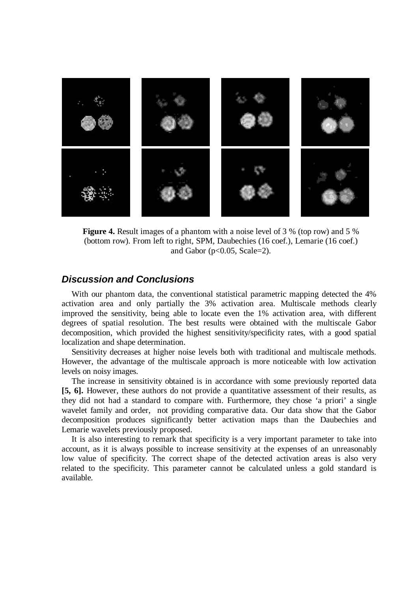

**Figure 4.** Result images of a phantom with a noise level of 3 % (top row) and 5 % (bottom row). From left to right, SPM, Daubechies (16 coef.), Lemarie (16 coef.) and Gabor ( $p<0.05$ , Scale=2).

### *Discussion and Conclusions*

With our phantom data, the conventional statistical parametric mapping detected the 4% activation area and only partially the 3% activation area. Multiscale methods clearly improved the sensitivity, being able to locate even the 1% activation area, with different degrees of spatial resolution. The best results were obtained with the multiscale Gabor decomposition, which provided the highest sensitivity/specificity rates, with a good spatial localization and shape determination.

Sensitivity decreases at higher noise levels both with traditional and multiscale methods. However, the advantage of the multiscale approach is more noticeable with low activation levels on noisy images.

The increase in sensitivity obtained is in accordance with some previously reported data **[5, 6].** However, these authors do not provide a quantitative assessment of their results, as they did not had a standard to compare with. Furthermore, they chose 'a priori' a single wavelet family and order, not providing comparative data. Our data show that the Gabor decomposition produces significantly better activation maps than the Daubechies and Lemarie wavelets previously proposed.

It is also interesting to remark that specificity is a very important parameter to take into account, as it is always possible to increase sensitivity at the expenses of an unreasonably low value of specificity. The correct shape of the detected activation areas is also very related to the specificity. This parameter cannot be calculated unless a gold standard is available.